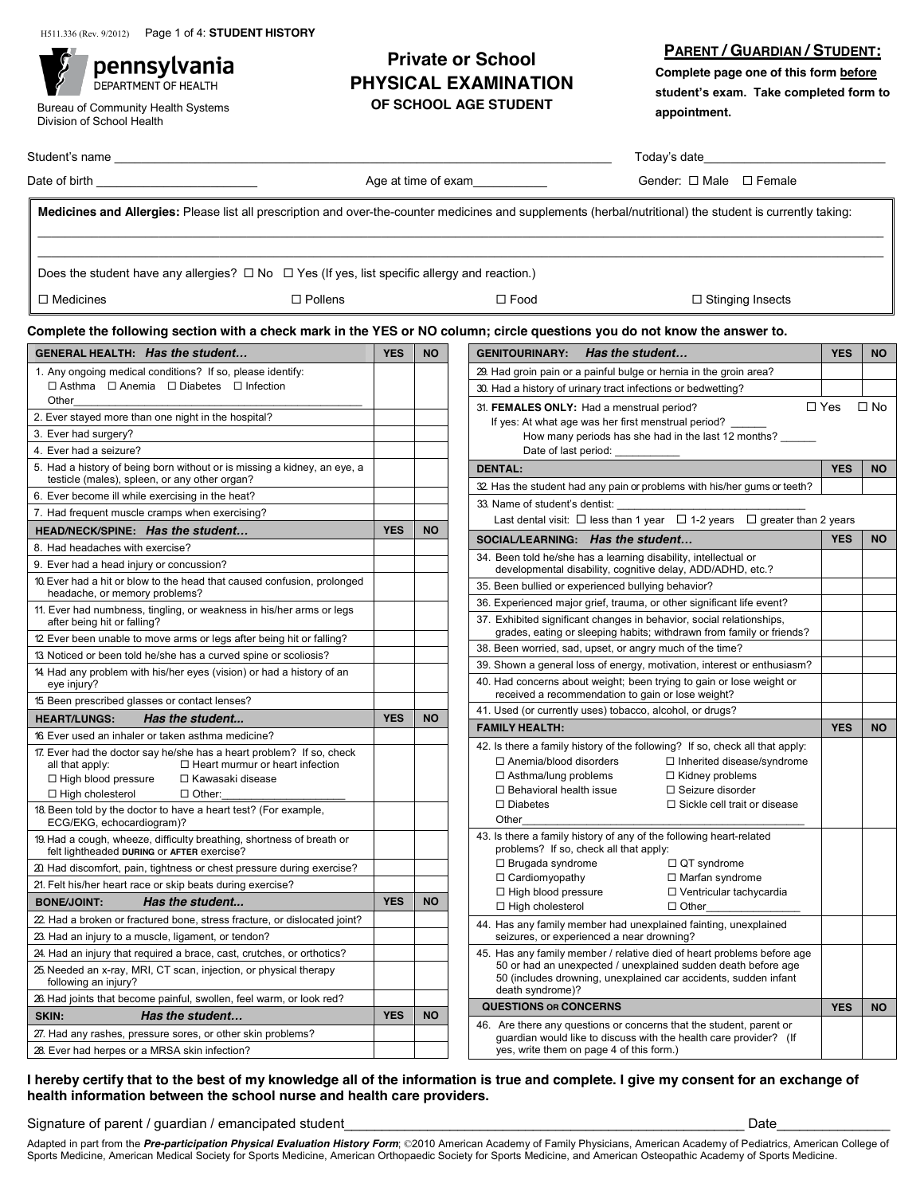pennsylvania DEPARTMENT OF HEALTH

Bureau of Community Health Systems Division of School Health

## **Private or School PHYSICAL EXAMINATION OF SCHOOL AGE STUDENT**

**PARENT / GUARDIAN / STUDENT:**

**Complete page one of this form before**  $student's exam.$  Take completed form to **appointment.** !

| Student's<br>name |                          | odav's date |  |  |  |
|-------------------|--------------------------|-------------|--|--|--|
| Data of kinds     | A a a at the a af annual |             |  |  |  |

Date of birth \_\_\_\_\_\_\_\_\_\_\_\_\_\_\_\_\_\_\_\_\_\_\_\_ Age at time of exam\_\_\_\_\_\_\_\_\_\_\_ Gender: ! Male ! Female

**Medicines and Allergies:** Please list all prescription and over-the-counter medicines and supplements (herbal/nutritional) the student is currently taking:

\_\_\_\_\_\_\_\_\_\_\_\_\_\_\_\_\_\_\_\_\_\_\_\_\_\_\_\_\_\_\_\_\_\_\_\_\_\_\_\_\_\_\_\_\_\_\_\_\_\_\_\_\_\_\_\_\_\_\_\_\_\_\_\_\_\_\_\_\_\_\_\_\_\_\_\_\_\_\_\_\_\_\_\_\_\_\_\_\_\_\_\_\_\_\_\_\_\_\_\_\_\_\_\_\_\_\_\_\_\_\_\_\_\_\_\_\_\_\_\_\_\_\_\_\_\_  $\mathcal{L}_\mathcal{L} = \{ \mathcal{L}_\mathcal{L} = \{ \mathcal{L}_\mathcal{L} = \{ \mathcal{L}_\mathcal{L} = \{ \mathcal{L}_\mathcal{L} = \{ \mathcal{L}_\mathcal{L} = \{ \mathcal{L}_\mathcal{L} = \{ \mathcal{L}_\mathcal{L} = \{ \mathcal{L}_\mathcal{L} = \{ \mathcal{L}_\mathcal{L} = \{ \mathcal{L}_\mathcal{L} = \{ \mathcal{L}_\mathcal{L} = \{ \mathcal{L}_\mathcal{L} = \{ \mathcal{L}_\mathcal{L} = \{ \mathcal{L}_\mathcal{$ 

Does the student have any allergies?  $\Box$  No  $\Box$  Yes (If yes, list specific allergy and reaction.)

 $\Box$  Medicines  $\Box$  Pollens  $\Box$  Pollens  $\Box$  Food  $\Box$  Stinging Insects

## **Complete the following section with a check mark in the YES or NO column; circle questions you do not know the answer to.**

| GENERAL HEALTH: Has the student                                                                                     | <b>YES</b> | <b>NO</b> | <b>Has the student</b><br><b>GENITOURINARY:</b>                                                                                          | <b>YES</b> | <b>NO</b>    |
|---------------------------------------------------------------------------------------------------------------------|------------|-----------|------------------------------------------------------------------------------------------------------------------------------------------|------------|--------------|
| 1. Any ongoing medical conditions? If so, please identify:                                                          |            |           | 29. Had groin pain or a painful bulge or hernia in the groin area?                                                                       |            |              |
| $\Box$ Asthma $\Box$ Anemia $\Box$ Diabetes $\Box$ Infection                                                        |            |           | 30. Had a history of urinary tract infections or bedwetting?                                                                             |            |              |
| Other                                                                                                               |            |           | 31. FEMALES ONLY: Had a menstrual period?                                                                                                | $\Box$ Yes | $\square$ No |
| 2. Ever stayed more than one night in the hospital?                                                                 |            |           | If yes: At what age was her first menstrual period?                                                                                      |            |              |
| 3. Ever had surgery?                                                                                                |            |           | How many periods has she had in the last 12 months?                                                                                      |            |              |
| 4. Ever had a seizure?<br>5. Had a history of being born without or is missing a kidney, an eye, a                  |            |           | Date of last period:                                                                                                                     |            |              |
| testicle (males), spleen, or any other organ?                                                                       |            |           | <b>DENTAL:</b>                                                                                                                           | <b>YES</b> | <b>NO</b>    |
| 6. Ever become ill while exercising in the heat?                                                                    |            |           | 32 Has the student had any pain or problems with his/her gums or teeth?                                                                  |            |              |
| 7. Had frequent muscle cramps when exercising?                                                                      |            |           | 33. Name of student's dentist:<br>Last dental visit: $\Box$ less than 1 year $\Box$ 1-2 years $\Box$ greater than 2 years                |            |              |
| HEAD/NECK/SPINE: Has the student                                                                                    | <b>YES</b> | <b>NO</b> |                                                                                                                                          |            |              |
| 8. Had headaches with exercise?                                                                                     |            |           | SOCIAL/LEARNING: Has the student                                                                                                         | <b>YES</b> | <b>NO</b>    |
| 9. Ever had a head injury or concussion?                                                                            |            |           | 34. Been told he/she has a learning disability, intellectual or<br>developmental disability, cognitive delay, ADD/ADHD, etc.?            |            |              |
| 10. Ever had a hit or blow to the head that caused confusion, prolonged                                             |            |           | 35. Been bullied or experienced bullying behavior?                                                                                       |            |              |
| headache, or memory problems?<br>11. Ever had numbness, tingling, or weakness in his/her arms or legs               |            |           | 36. Experienced major grief, trauma, or other significant life event?                                                                    |            |              |
| after being hit or falling?                                                                                         |            |           | 37. Exhibited significant changes in behavior, social relationships,                                                                     |            |              |
| 12 Ever been unable to move arms or legs after being hit or falling?                                                |            |           | grades, eating or sleeping habits; withdrawn from family or friends?<br>38. Been worried, sad, upset, or angry much of the time?         |            |              |
| 13 Noticed or been told he/she has a curved spine or scoliosis?                                                     |            |           | 39. Shown a general loss of energy, motivation, interest or enthusiasm?                                                                  |            |              |
| 14 Had any problem with his/her eyes (vision) or had a history of an<br>eye injury?                                 |            |           | 40. Had concerns about weight; been trying to gain or lose weight or<br>received a recommendation to gain or lose weight?                |            |              |
| 15 Been prescribed glasses or contact lenses?                                                                       |            |           | 41. Used (or currently uses) tobacco, alcohol, or drugs?                                                                                 |            |              |
| <b>HEART/LUNGS:</b><br>Has the student                                                                              | <b>YES</b> | <b>NO</b> | <b>FAMILY HEALTH:</b>                                                                                                                    | <b>YES</b> | <b>NO</b>    |
| 16 Ever used an inhaler or taken asthma medicine?                                                                   |            |           | 42. Is there a family history of the following? If so, check all that apply:                                                             |            |              |
| 17. Ever had the doctor say he/she has a heart problem? If so, check<br>$\Box$ Heart murmur or heart infection      |            |           | □ Anemia/blood disorders<br>$\Box$ Inherited disease/syndrome                                                                            |            |              |
| all that apply:<br>$\Box$ High blood pressure<br>□ Kawasaki disease                                                 |            |           | $\Box$ Asthma/lung problems<br>$\Box$ Kidney problems                                                                                    |            |              |
| $\Box$ High cholesterol<br>$\Box$ Other:                                                                            |            |           | □ Seizure disorder<br>$\Box$ Behavioral health issue                                                                                     |            |              |
| 18. Been told by the doctor to have a heart test? (For example,<br>ECG/EKG, echocardiogram)?                        |            |           | $\Box$ Diabetes<br>$\Box$ Sickle cell trait or disease<br>Other                                                                          |            |              |
| 19. Had a cough, wheeze, difficulty breathing, shortness of breath or<br>felt lightheaded DURING or AFTER exercise? |            |           | 43. Is there a family history of any of the following heart-related<br>problems? If so, check all that apply:                            |            |              |
| 20 Had discomfort, pain, tightness or chest pressure during exercise?                                               |            |           |                                                                                                                                          |            |              |
| 21. Felt his/her heart race or skip beats during exercise?                                                          |            |           | $\Box$ Brugada syndrome<br>□ QT syndrome                                                                                                 |            |              |
|                                                                                                                     |            |           | $\Box$ Cardiomyopathy<br>$\Box$ Marfan syndrome                                                                                          |            |              |
| <b>BONE/JOINT:</b><br>Has the student                                                                               | <b>YES</b> | <b>NO</b> | $\Box$ High blood pressure<br>□ Ventricular tachycardia                                                                                  |            |              |
| 22 Had a broken or fractured bone, stress fracture, or dislocated joint?                                            |            |           | $\Box$ High cholesterol<br>$\Box$ Other                                                                                                  |            |              |
| 23. Had an injury to a muscle, ligament, or tendon?                                                                 |            |           | 44. Has any family member had unexplained fainting, unexplained<br>seizures, or experienced a near drowning?                             |            |              |
| 24. Had an injury that required a brace, cast, crutches, or orthotics?                                              |            |           | 45. Has any family member / relative died of heart problems before age                                                                   |            |              |
| 25. Needed an x-ray, MRI, CT scan, injection, or physical therapy<br>following an injury?                           |            |           | 50 or had an unexpected / unexplained sudden death before age<br>50 (includes drowning, unexplained car accidents, sudden infant         |            |              |
| 26. Had joints that become painful, swollen, feel warm, or look red?                                                |            |           | death syndrome)?                                                                                                                         |            |              |
| SKIN:<br>Has the student                                                                                            | <b>YES</b> | <b>NO</b> | <b>QUESTIONS OR CONCERNS</b>                                                                                                             | <b>YES</b> | <b>NO</b>    |
| 27. Had any rashes, pressure sores, or other skin problems?                                                         |            |           | 46. Are there any questions or concerns that the student, parent or<br>guardian would like to discuss with the health care provider? (If |            |              |

## **I hereby certify that to the best of my knowledge all of the information is true and complete. I give my consent for an exchange of health information between the school nurse and health care providers.**

Signature of parent / guardian / emancipated student the student of the student of the student of the student of the student of the student of the student of the student of the student of the student of the student of the

Adapted in part from the *Pre-participation Physical Evaluation History Form*; ©2010 American Academy of Family Physicians, American Academy of Pediatrics, American College of Sports Medicine, American Medical Society for Sports Medicine, American Orthopaedic Society for Sports Medicine, and American Osteopathic Academy of Sports Medicine.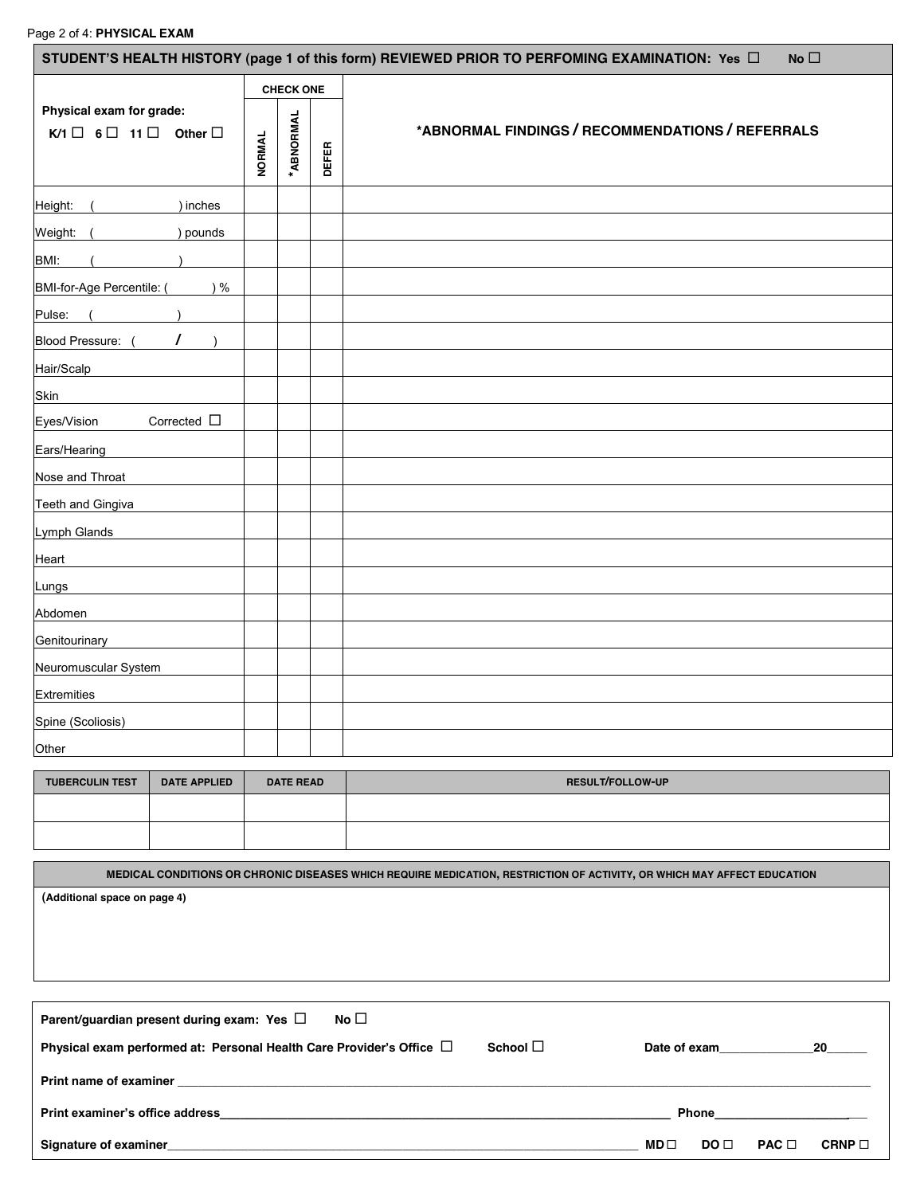|                                                                                |                     |     |               |                  |              | STUDENT'S HEALTH HISTORY (page 1 of this form) REVIEWED PRIOR TO PERFOMING EXAMINATION: Yes $\Box$<br>No $\square$ |  |  |  |
|--------------------------------------------------------------------------------|---------------------|-----|---------------|------------------|--------------|--------------------------------------------------------------------------------------------------------------------|--|--|--|
|                                                                                |                     |     |               | <b>CHECK ONE</b> |              |                                                                                                                    |  |  |  |
| Physical exam for grade:<br>$K/1 \square 6 \square 11 \square$ Other $\square$ |                     |     | <b>NORMAL</b> | *ABNORMAL        | <b>DEFER</b> | *ABNORMAL FINDINGS / RECOMMENDATIONS / REFERRALS                                                                   |  |  |  |
| Height:                                                                        | ) inches            |     |               |                  |              |                                                                                                                    |  |  |  |
| Weight: (                                                                      | ) pounds            |     |               |                  |              |                                                                                                                    |  |  |  |
| BMI:                                                                           |                     |     |               |                  |              |                                                                                                                    |  |  |  |
| BMI-for-Age Percentile: (                                                      |                     | ) % |               |                  |              |                                                                                                                    |  |  |  |
| Pulse:<br>$\sqrt{ }$                                                           |                     |     |               |                  |              |                                                                                                                    |  |  |  |
| Blood Pressure: (                                                              | $\prime$            |     |               |                  |              |                                                                                                                    |  |  |  |
| Hair/Scalp                                                                     |                     |     |               |                  |              |                                                                                                                    |  |  |  |
| Skin                                                                           |                     |     |               |                  |              |                                                                                                                    |  |  |  |
| Eyes/Vision                                                                    | Corrected $\Box$    |     |               |                  |              |                                                                                                                    |  |  |  |
| Ears/Hearing                                                                   |                     |     |               |                  |              |                                                                                                                    |  |  |  |
| Nose and Throat                                                                |                     |     |               |                  |              |                                                                                                                    |  |  |  |
| Teeth and Gingiva                                                              |                     |     |               |                  |              |                                                                                                                    |  |  |  |
| Lymph Glands                                                                   |                     |     |               |                  |              |                                                                                                                    |  |  |  |
| Heart                                                                          |                     |     |               |                  |              |                                                                                                                    |  |  |  |
| Lungs                                                                          |                     |     |               |                  |              |                                                                                                                    |  |  |  |
| Abdomen                                                                        |                     |     |               |                  |              |                                                                                                                    |  |  |  |
| Genitourinary                                                                  |                     |     |               |                  |              |                                                                                                                    |  |  |  |
| Neuromuscular System                                                           |                     |     |               |                  |              |                                                                                                                    |  |  |  |
| <b>Extremities</b>                                                             |                     |     |               |                  |              |                                                                                                                    |  |  |  |
| Spine (Scoliosis)                                                              |                     |     |               |                  |              |                                                                                                                    |  |  |  |
| Other                                                                          |                     |     |               |                  |              |                                                                                                                    |  |  |  |
| <b>TUBERCULIN TEST</b>                                                         | <b>DATE APPLIED</b> |     |               | <b>DATE READ</b> |              | RESULT/FOLLOW-UP                                                                                                   |  |  |  |
|                                                                                |                     |     |               |                  |              |                                                                                                                    |  |  |  |

| MEDICAL CONDITIONS OR CHRONIC DISEASES WHICH REQUIRE MEDICATION, RESTRICTION OF ACTIVITY, OR WHICH MAY AFFECT EDUCATION |
|-------------------------------------------------------------------------------------------------------------------------|
| (Additional space on page 4)                                                                                            |
|                                                                                                                         |
|                                                                                                                         |
|                                                                                                                         |
|                                                                                                                         |

| No $\square$<br>Parent/guardian present during exam: Yes $\Box$                                                                                                                                                                |                  |              |      |                                                                                                                                                                                                                                    |             |
|--------------------------------------------------------------------------------------------------------------------------------------------------------------------------------------------------------------------------------|------------------|--------------|------|------------------------------------------------------------------------------------------------------------------------------------------------------------------------------------------------------------------------------------|-------------|
| Physical exam performed at: Personal Health Care Provider's Office $\Box$                                                                                                                                                      | School $\square$ | Date of exam |      |                                                                                                                                                                                                                                    | 20          |
| Print name of examiner example and the state of the state of the state of the state of the state of the state of the state of the state of the state of the state of the state of the state of the state of the state of the s |                  |              |      |                                                                                                                                                                                                                                    |             |
| Print examiner's office address                                                                                                                                                                                                |                  |              |      | <b>Phone Contract Contract Contract Contract Contract Contract Contract Contract Contract Contract Contract Contract Contract Contract Contract Contract Contract Contract Contract Contract Contract Contract Contract Contra</b> |             |
| <b>Signature of examiner</b><br><u> 1989 - Jan James Sandarík (f. 1989)</u>                                                                                                                                                    |                  | $MD \Box$    | DO □ | $PAC \Box$                                                                                                                                                                                                                         | CRNP $\Box$ |
|                                                                                                                                                                                                                                |                  |              |      |                                                                                                                                                                                                                                    |             |